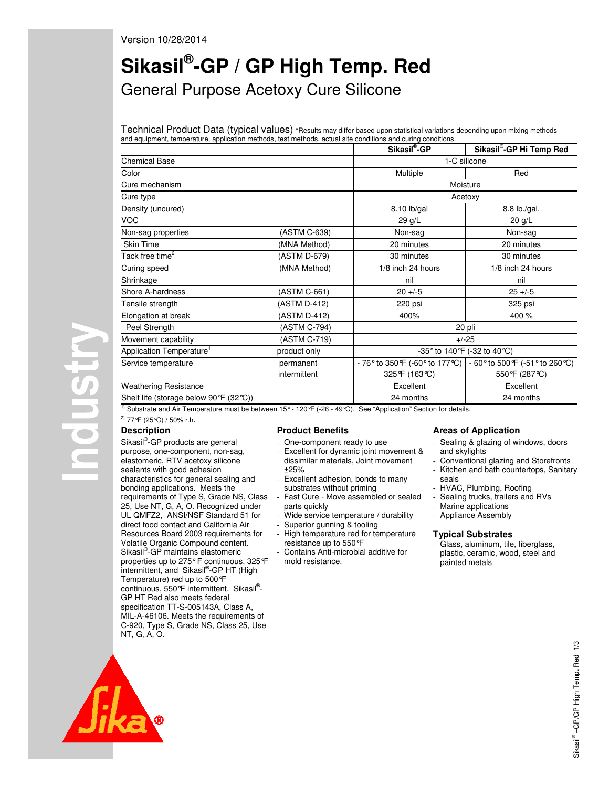# Version 10/28/2014

# **Sikasil® -GP / GP High Temp. Red**  General Purpose Acetoxy Cure Silicone

Technical Product Data (typical values) \*Results may differ based upon statistical variations depending upon mixing methods and equipment, temperature, application methods, test methods, actual site conditions and curing conditions.

|                                         |              | Sikasil <sup>®</sup> -GP          | Sikasil®-GP Hi Temp Red                                                  |  |
|-----------------------------------------|--------------|-----------------------------------|--------------------------------------------------------------------------|--|
| <b>Chemical Base</b>                    |              | 1-C silicone                      |                                                                          |  |
| Color                                   |              | Multiple                          | Red                                                                      |  |
| Cure mechanism                          |              |                                   | Moisture                                                                 |  |
| Cure type                               |              | Acetoxy                           |                                                                          |  |
| Density (uncured)                       |              | 8.10 lb/gal                       | 8.8 lb./gal.                                                             |  |
| VOC                                     |              | 29 g/L                            | $20$ g/L                                                                 |  |
| Non-sag properties                      | (ASTM C-639) | Non-sag                           | Non-sag                                                                  |  |
| <b>Skin Time</b>                        | (MNA Method) | 20 minutes                        | 20 minutes                                                               |  |
| Tack free time <sup>2</sup>             | (ASTM D-679) | 30 minutes                        | 30 minutes                                                               |  |
| Curing speed                            | (MNA Method) | 1/8 inch 24 hours                 | 1/8 inch 24 hours                                                        |  |
| Shrinkage                               |              | nil                               | nil                                                                      |  |
| Shore A-hardness                        | (ASTM C-661) | $20 + -5$                         | $25 + -5$                                                                |  |
| Tensile strength                        | (ASTM D-412) | 220 psi                           | 325 psi                                                                  |  |
| Elongation at break                     | (ASTM D-412) | 400%                              | 400 %                                                                    |  |
| Peel Strength                           | (ASTM C-794) | 20 pli                            |                                                                          |  |
| Movement capability                     | (ASTM C-719) | $+/-25$                           |                                                                          |  |
| Application Temperature <sup>1</sup>    | product only | -35° to 140°F (-32 to 40°C)       |                                                                          |  |
| Service temperature                     | permanent    | - 76° to 350 °F (-60 ° to 177 °C) | - 60 $^{\circ}$ to 500 $^{\circ}$ F (-51 $^{\circ}$ to 260 $^{\circ}$ C) |  |
|                                         | intermittent | 325°F (163℃)                      | 550 °F (287 °C)                                                          |  |
| <b>Weathering Resistance</b>            |              | Excellent                         | Excellent                                                                |  |
| Shelf life (storage below 90 °F (32 ℃)) |              | 24 months                         | 24 months                                                                |  |

<sup>1)</sup> Substrate and Air Temperature must be between 15° - 120°F (-26 - 49°C). See "Application" Section for details.

2) 77°F (25°C) / 50% r.h.

# **Description**

**Alshold** 

Sikasil<sup>®</sup>-GP products are general purpose, one-component, non-sag, elastomeric, RTV acetoxy silicone sealants with good adhesion characteristics for general sealing and bonding applications. Meets the requirements of Type S, Grade NS, Class 25, Use NT, G, A, O. Recognized under UL QMFZ2, ANSI/NSF Standard 51 for direct food contact and California Air Resources Board 2003 requirements for Volatile Organic Compound content. Sikasil<sup>®</sup>-GP maintains elastomeric properties up to 275° F continuous, 325°F intermittent, and Sikasil® -GP HT (High Temperature) red up to 500°F continuous, 550°F intermittent. Sikasil® - GP HT Red also meets federal specification TT-S-005143A, Class A, MIL-A-46106. Meets the requirements of C-920, Type S, Grade NS, Class 25, Use NT, G, A, O.

# **Product Benefits**

- One-component ready to use
- Excellent for dynamic joint movement & dissimilar materials, Joint movement ±25%
- Excellent adhesion, bonds to many substrates without priming
- Fast Cure Move assembled or sealed parts quickly
- Wide service temperature / durability
- Superior gunning & tooling
- High temperature red for temperature resistance up to 550°F
- Contains Anti-microbial additive for mold resistance.

# **Areas of Application**

- Sealing & glazing of windows, doors and skylights
- Conventional glazing and Storefronts
- Kitchen and bath countertops, Sanitary seals
- HVAC, Plumbing, Roofing
- Sealing trucks, trailers and RVs
- Marine applications
- Appliance Assembly

# **Typical Substrates**

- Glass, aluminum, tile, fiberglass, plastic, ceramic, wood, steel and painted metals

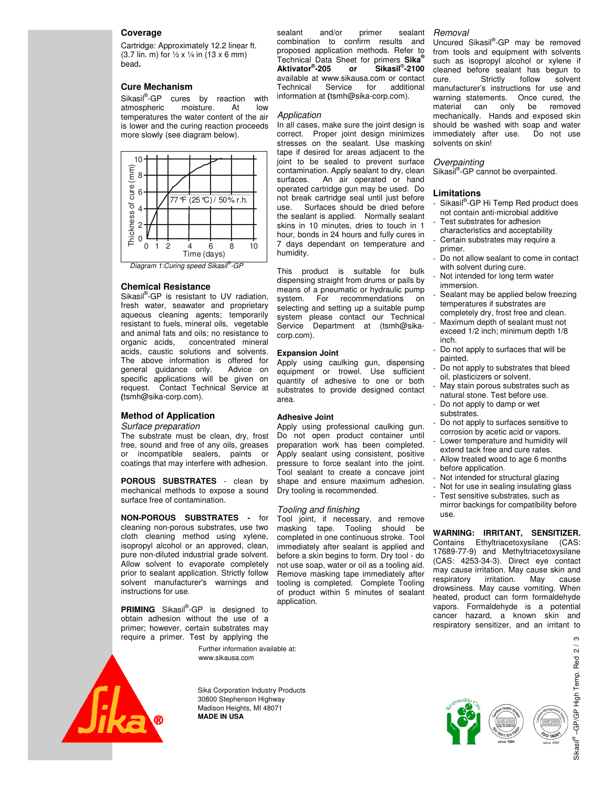# **Coverage**

Cartridge: Approximately 12.2 linear ft. (3.7 lin. m) for  $\frac{1}{2}$  x  $\frac{1}{4}$  in (13 x 6 mm) bead**.** 

# **Cure Mechanism**

Sikasil<sup>®</sup>-GP cures by reaction with atmospheric moisture. At low temperatures the water content of the air is lower and the curing reaction proceeds more slowly (see diagram below).



#### **Chemical Resistance**

Sikasil<sup>®</sup>-GP is resistant to UV radiation, fresh water, seawater and proprietary aqueous cleaning agents; temporarily resistant to fuels, mineral oils, vegetable and animal fats and oils; no resistance to organic acids, concentrated mineral concentrated mineral acids, caustic solutions and solvents. The above information is offered for general guidance only. Advice on specific applications will be given on request. Contact Technical Service at **(**tsmh@sika-corp.com).

# **Method of Application**

Surface preparation

The substrate must be clean, dry, frost free, sound and free of any oils, greases or incompatible sealers, paints or coatings that may interfere with adhesion.

**POROUS SUBSTRATES** - clean by mechanical methods to expose a sound surface free of contamination.

# **NON-POROUS SUBSTRATES -** for

cleaning non-porous substrates, use two cloth cleaning method using xylene, isopropyl alcohol or an approved, clean, pure non-diluted industrial grade solvent. Allow solvent to evaporate completely prior to sealant application. Strictly follow solvent manufacturer's warnings and instructions for use.

**PRIMING** Sikasil<sup>®</sup>-GP is designed to obtain adhesion without the use of a primer; however, certain substrates may require a primer. Test by applying the

Further information available at: www.sikausa.com



Sika Corporation Industry Products 30800 Stephenson Highway Madison Heights, MI 48071 **MADE IN USA** 

sealant and/or primer sealant combination to confirm results and proposed application methods. Refer to Technical Data Sheet for primers **Sika® Aktivator® -205 or Sikasil**® **-2100** available at www.sikausa.com or contact Technical Service for additional information at **(**tsmh@sika-corp.com).

#### Application

In all cases, make sure the joint design is correct. Proper joint design minimizes stresses on the sealant. Use masking tape if desired for areas adjacent to the joint to be sealed to prevent surface contamination. Apply sealant to dry, clean surfaces. An air operated or hand operated cartridge gun may be used. Do not break cartridge seal until just before use. Surfaces should be dried before the sealant is applied. Normally sealant skins in 10 minutes, dries to touch in 1 hour, bonds in 24 hours and fully cures in 7 days dependant on temperature and humidity.

This product is suitable for bulk dispensing straight from drums or pails by means of a pneumatic or hydraulic pump system. For recommendations on selecting and setting up a suitable pump system please contact our Technical Service Department at (tsmh@sikacorp.com).

## **Expansion Joint**

Apply using caulking gun, dispensing equipment or trowel. Use sufficient quantity of adhesive to one or both substrates to provide designed contact area.

## **Adhesive Joint**

Apply using professional caulking gun. Do not open product container until preparation work has been completed. Apply sealant using consistent, positive pressure to force sealant into the joint. Tool sealant to create a concave joint shape and ensure maximum adhesion. Dry tooling is recommended.

#### Tooling and finishing

Tool joint, if necessary, and remove masking tape. Tooling should be completed in one continuous stroke. Tool immediately after sealant is applied and before a skin begins to form. Dry tool - do not use soap, water or oil as a tooling aid. Remove masking tape immediately after tooling is completed. Complete Tooling of product within 5 minutes of sealant application.

#### Removal

Uncured Sikasil®-GP may be removed from tools and equipment with solvents such as isopropyl alcohol or xylene if cleaned before sealant has begun to<br>cure. Strictly follow solvent cure. Strictly follow solvent manufacturer's instructions for use and warning statements. Once cured, the material can only be removed mechanically. Hands and exposed skin should be washed with soap and water immediately after use. Do not use solvents on skin!

#### **Overpainting**

Sikasil<sup>®</sup>-GP cannot be overpainted.

#### **Limitations**

- Sikasil®-GP Hi Temp Red product does not contain anti-microbial additive
- Test substrates for adhesion
- characteristics and acceptability Certain substrates may require a
- primer. Do not allow sealant to come in contact with solvent during cure.
- Not intended for long term water immersion.
- Sealant may be applied below freezing temperatures if substrates are completely dry, frost free and clean.
- Maximum depth of sealant must not exceed 1/2 inch; minimum depth 1/8 inch.
- Do not apply to surfaces that will be painted.
- Do not apply to substrates that bleed oil, plasticizers or solvent.
- May stain porous substrates such as natural stone. Test before use.
- Do not apply to damp or wet substrates.
- Do not apply to surfaces sensitive to corrosion by acetic acid or vapors.
- Lower temperature and humidity will extend tack free and cure rates. Allow treated wood to age 6 months
- before application.
- Not intended for structural glazing
- Not for use in sealing insulating glass
- Test sensitive substrates, such as mirror backings for compatibility before use.

# **WARNING: IRRITANT, SENSITIZER.**

Contains Ethyltriacetoxysilane (CAS: 17689-77-9) and Methyltriacetoxysilane (CAS: 4253-34-3). Direct eye contact may cause irritation. May cause skin and respiratory irritation. May cause drowsiness. May cause vomiting. When heated, product can form formaldehyde vapors. Formaldehyde is a potential cancer hazard, a known skin and respiratory sensitizer, and an irritant to





–GP/GP High Temp. Red 2 / 3 Red -GP/GP High Temp. ® Sikasil

ო  $\tilde{a}$